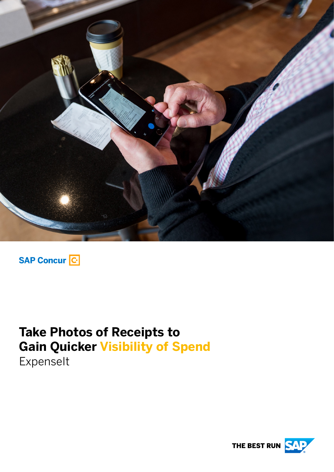



## **Take Photos of Receipts to Gain Quicker Visibility of Spend Expenselt**

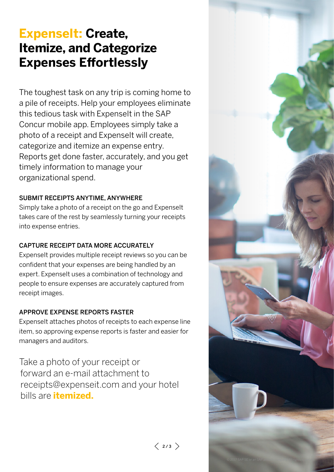# **ExpenseIt: Create, Itemize, and Categorize Expenses Effortlessly**

The toughest task on any trip is coming home to a pile of receipts. Help your employees eliminate this tedious task with Expenselt in the SAP Concur mobile app. Employees simply take a photo of a receipt and Expenselt will create, categorize and itemize an expense entry. Reports get done faster, accurately, and you get timely information to manage your organizational spend.

#### SUBMIT RECEIPTS ANYTIME, ANYWHERE

Simply take a photo of a receipt on the go and ExpenseIt takes care of the rest by seamlessly turning your receipts into expense entries.

#### CAPTURE RECEIPT DATA MORE ACCURATELY

ExpenseIt provides multiple receipt reviews so you can be confident that your expenses are being handled by an expert. ExpenseIt uses a combination of technology and people to ensure expenses are accurately captured from receipt images.

## APPROVE EXPENSE REPORTS FASTER

ExpenseIt attaches photos of receipts to each expense line item, so approving expense reports is faster and easier for managers and auditors.

Take a photo of your receipt or forward an e-mail attachment to receipts@expenseit.com and your hotel bills are **itemized.** 

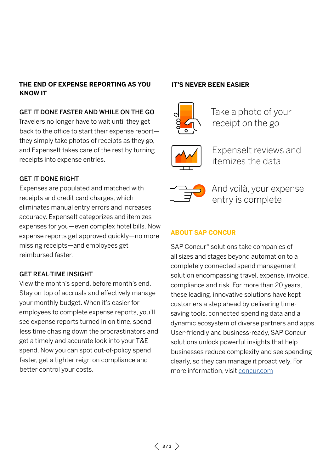#### **THE END OF EXPENSE REPORTING AS YOU KNOW IT**

#### GET IT DONE FASTER AND WHILE ON THE GO

Travelers no longer have to wait until they get back to the office to start their expense report they simply take photos of receipts as they go, and Expenselt takes care of the rest by turning receipts into expense entries.

#### GET IT DONE RIGHT

Expenses are populated and matched with receipts and credit card charges, which eliminates manual entry errors and increases accuracy. ExpenseIt categorizes and itemizes expenses for you—even complex hotel bills. Now expense reports get approved quickly—no more missing receipts—and employees get reimbursed faster.

#### GET REAL-TIME INSIGHT

View the month's spend, before month's end. Stay on top of accruals and effectively manage your monthly budget. When it's easier for employees to complete expense reports, you'll see expense reports turned in on time, spend less time chasing down the procrastinators and get a timely and accurate look into your T&E spend. Now you can spot out-of-policy spend faster, get a tighter reign on compliance and better control your costs.

#### **IT'S NEVER BEEN EASIER**



Take a photo of your receipt on the go



ExpenseIt reviews and itemizes the data



And voilà, your expense entry is complete

## **ABOUT SAP CONCUR**

SAP Concur® solutions take companies of all sizes and stages beyond automation to a completely connected spend management solution encompassing travel, expense, invoice, compliance and risk. For more than 20 years, these leading, innovative solutions have kept customers a step ahead by delivering timesaving tools, connected spending data and a dynamic ecosystem of diverse partners and apps. User-friendly and business-ready, SAP Concur solutions unlock powerful insights that help businesses reduce complexity and see spending clearly, so they can manage it proactively. For more information, visit [concur.com](https://www.concur.com/)